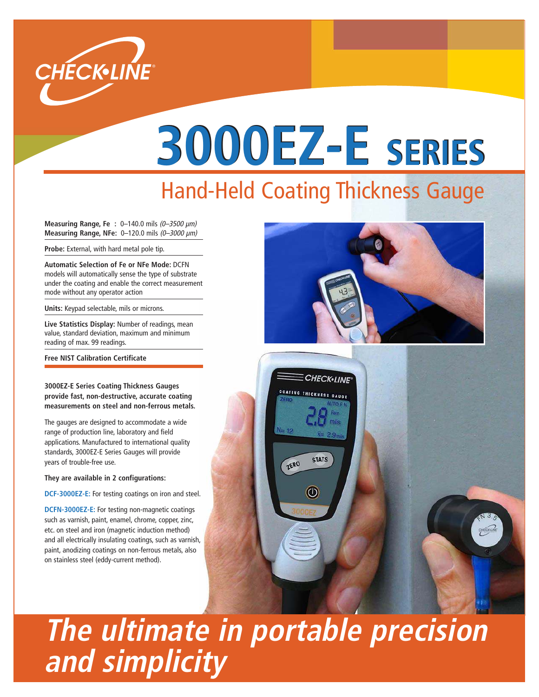

# **3000EZ-E SERIES** Hand-Held Coating Thickness Gauge

**Measuring Range, Fe : 0−140.0 mils (0-3500 µm) Measuring Range, NFe:** 0–120.0 mils (0–3000 µm)

**Probe:** External, with hard metal pole tip.

**Automatic Selection of Fe or NFe Mode:** DCFN models will automatically sense the type of substrate under the coating and enable the correct measurement mode without any operator action

**Units:** Keypad selectable, mils or microns.

**Live Statistics Display:** Number of readings, mean value, standard deviation, maximum and minimum reading of max. 99 readings.

**Free NIST Calibration Certificate**

**3000EZ-E Series Coating Thickness Gauges provide fast, non-destructive, accurate coating measurements on steel and non-ferrous metals.**

The gauges are designed to accommodate a wide range of production line, laboratory and field applications. Manufactured to international quality standards, 3000EZ-E Series Gauges will provide years of trouble-free use.

**They are available in 2 configurations:**

**DCF-3000EZ-E:** For testing coatings on iron and steel.

**DCFN-3000EZ-E:** For testing non-magnetic coatings such as varnish, paint, enamel, chrome, copper, zinc, etc. on steel and iron (magnetic induction method) and all electrically insulating coatings, such as varnish, paint, anodizing coatings on non-ferrous metals, also on stainless steel (eddy-current method).



## **The ultimate in portable precision and simplicity**